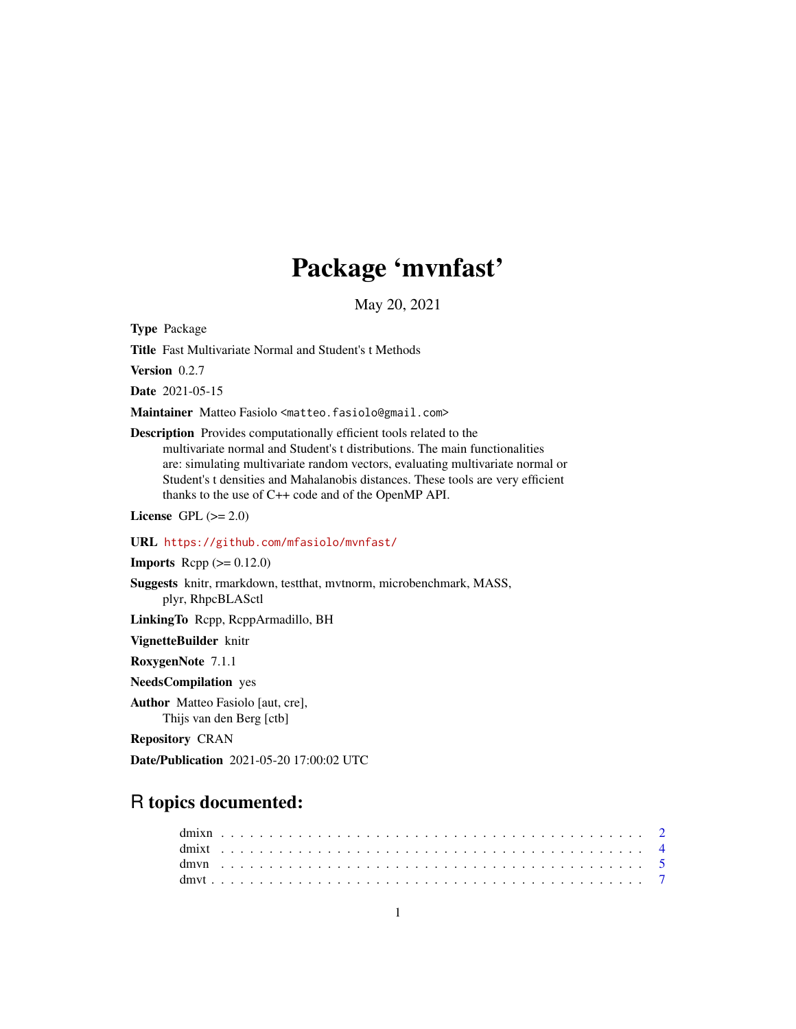# Package 'mvnfast'

May 20, 2021

Type Package

Title Fast Multivariate Normal and Student's t Methods

Version 0.2.7

Date 2021-05-15

Maintainer Matteo Fasiolo <matteo.fasiolo@gmail.com>

Description Provides computationally efficient tools related to the multivariate normal and Student's t distributions. The main functionalities are: simulating multivariate random vectors, evaluating multivariate normal or Student's t densities and Mahalanobis distances. These tools are very efficient thanks to the use of C++ code and of the OpenMP API.

License GPL  $(>= 2.0)$ 

#### URL <https://github.com/mfasiolo/mvnfast/>

**Imports** Rcpp  $(>= 0.12.0)$ 

Suggests knitr, rmarkdown, testthat, mvtnorm, microbenchmark, MASS, plyr, RhpcBLASctl

LinkingTo Rcpp, RcppArmadillo, BH

VignetteBuilder knitr

RoxygenNote 7.1.1

NeedsCompilation yes

Author Matteo Fasiolo [aut, cre], Thijs van den Berg [ctb]

Repository CRAN

Date/Publication 2021-05-20 17:00:02 UTC

## R topics documented: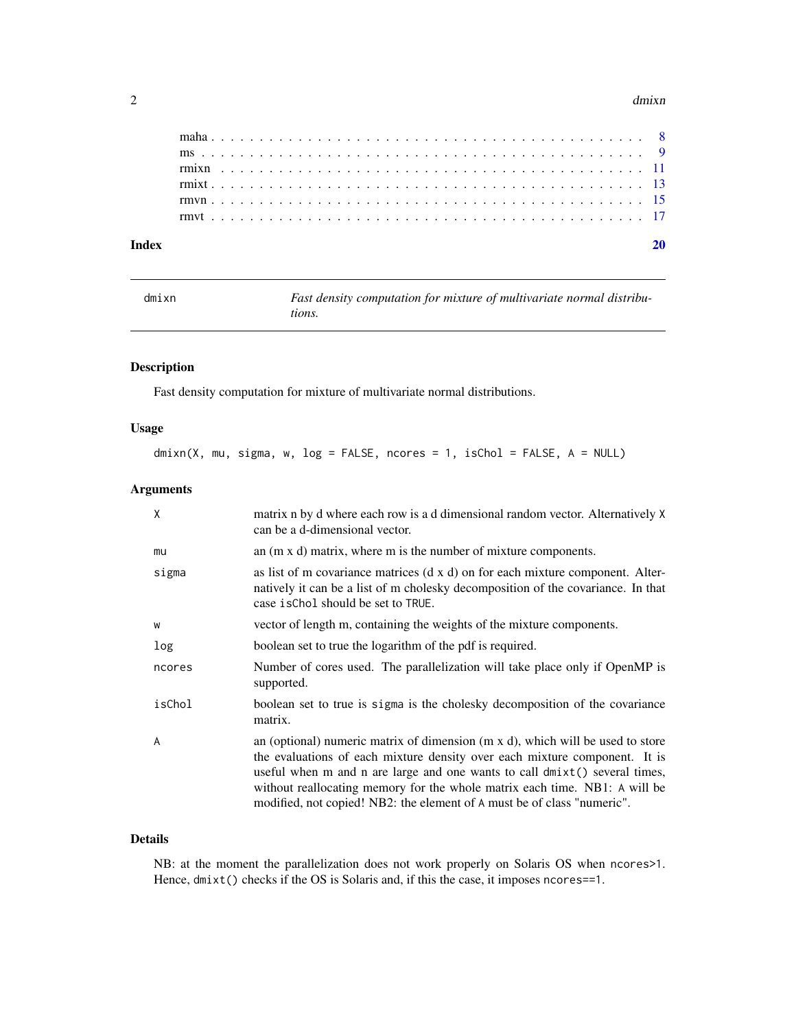#### <span id="page-1-0"></span> $2 \,$  dmixn

| Indev |  |  |  |  |  |  |  |  |  |  |  |  |  |  |  |  |  |  |  |  |  |  |  |
|-------|--|--|--|--|--|--|--|--|--|--|--|--|--|--|--|--|--|--|--|--|--|--|--|
|       |  |  |  |  |  |  |  |  |  |  |  |  |  |  |  |  |  |  |  |  |  |  |  |
|       |  |  |  |  |  |  |  |  |  |  |  |  |  |  |  |  |  |  |  |  |  |  |  |
|       |  |  |  |  |  |  |  |  |  |  |  |  |  |  |  |  |  |  |  |  |  |  |  |
|       |  |  |  |  |  |  |  |  |  |  |  |  |  |  |  |  |  |  |  |  |  |  |  |
|       |  |  |  |  |  |  |  |  |  |  |  |  |  |  |  |  |  |  |  |  |  |  |  |
|       |  |  |  |  |  |  |  |  |  |  |  |  |  |  |  |  |  |  |  |  |  |  |  |
|       |  |  |  |  |  |  |  |  |  |  |  |  |  |  |  |  |  |  |  |  |  |  |  |

dmixn *Fast density computation for mixture of multivariate normal distributions.*

#### Description

Fast density computation for mixture of multivariate normal distributions.

#### Usage

dmixn(X, mu, sigma, w, log = FALSE, ncores = 1, isChol = FALSE, A = NULL)

#### Arguments

| X      | matrix n by d where each row is a d dimensional random vector. Alternatively X<br>can be a d-dimensional vector.                                                                                                                                                                                                                                                                                            |
|--------|-------------------------------------------------------------------------------------------------------------------------------------------------------------------------------------------------------------------------------------------------------------------------------------------------------------------------------------------------------------------------------------------------------------|
| mu     | an $(m \times d)$ matrix, where m is the number of mixture components.                                                                                                                                                                                                                                                                                                                                      |
| sigma  | as list of m covariance matrices $(d \times d)$ on for each mixture component. Alter-<br>natively it can be a list of m cholesky decomposition of the covariance. In that<br>case is Chol should be set to TRUE.                                                                                                                                                                                            |
| W      | vector of length m, containing the weights of the mixture components.                                                                                                                                                                                                                                                                                                                                       |
| log    | boolean set to true the logarithm of the pdf is required.                                                                                                                                                                                                                                                                                                                                                   |
| ncores | Number of cores used. The parallelization will take place only if OpenMP is<br>supported.                                                                                                                                                                                                                                                                                                                   |
| isChol | boolean set to true is sigma is the cholesky decomposition of the covariance<br>matrix.                                                                                                                                                                                                                                                                                                                     |
| A      | an (optional) numeric matrix of dimension $(m \times d)$ , which will be used to store<br>the evaluations of each mixture density over each mixture component. It is<br>useful when m and n are large and one wants to call dmixt() several times,<br>without reallocating memory for the whole matrix each time. NB1: A will be<br>modified, not copied! NB2: the element of A must be of class "numeric". |

#### Details

NB: at the moment the parallelization does not work properly on Solaris OS when ncores>1. Hence,  $dmixt()$  checks if the OS is Solaris and, if this the case, it imposes ncores==1.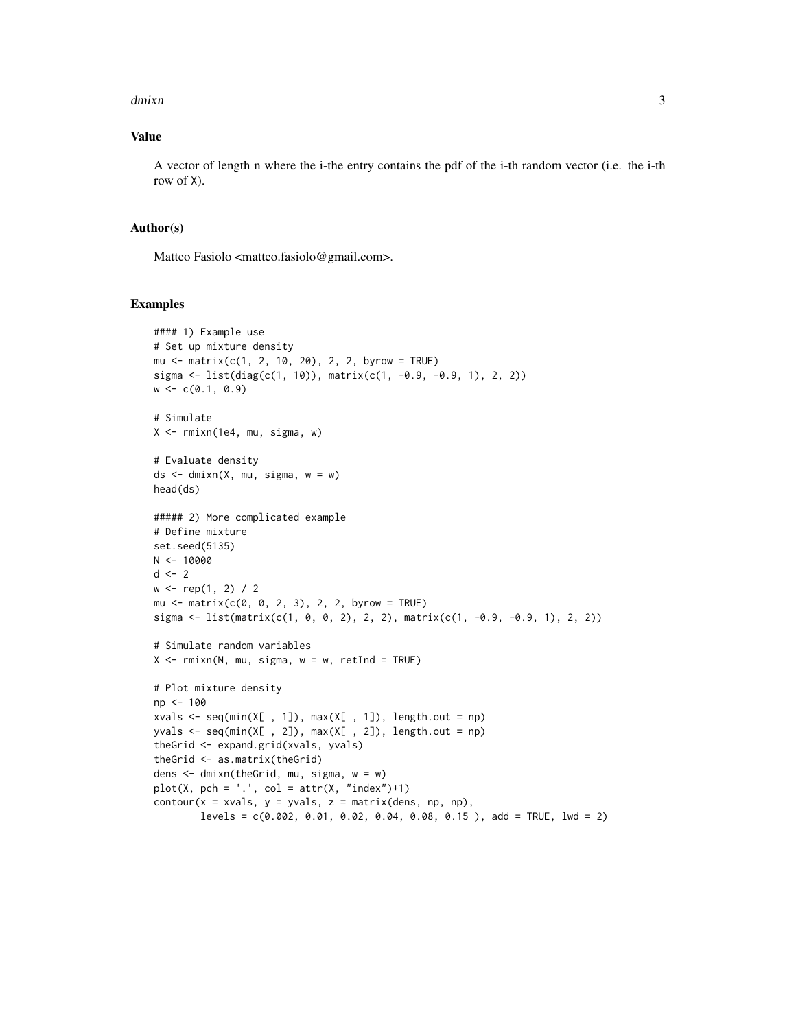#### $d$ mixn  $3$

#### Value

A vector of length n where the i-the entry contains the pdf of the i-th random vector (i.e. the i-th row of X).

#### Author(s)

Matteo Fasiolo <matteo.fasiolo@gmail.com>.

```
#### 1) Example use
# Set up mixture density
mu <- matrix(c(1, 2, 10, 20), 2, 2, byrow = TRUE)
sigma <- list(diag(c(1, 10)), matrix(c(1, -0.9, -0.9, 1), 2, 2))
w \leftarrow c(0.1, 0.9)# Simulate
X \leq -rmixn(1e4, mu, sigma, w)
# Evaluate density
ds \leq dmixn(X, mu, sigma, w = w)
head(ds)
##### 2) More complicated example
# Define mixture
set.seed(5135)
N < - 10000d \leq -2w \leq rep(1, 2) / 2mu \le - matrix(c(0, 0, 2, 3), 2, 2, byrow = TRUE)
sigma \le list(matrix(c(1, 0, 0, 2), 2, 2), matrix(c(1, -0.9, -0.9, 1), 2, 2))
# Simulate random variables
X \leq -r \text{min}(N, mu, sigma, w = w, retInd = TRUE)# Plot mixture density
np <- 100
xvals \leq seq(min(X[, 1]), max(X[, 1]), length.out = np)
yvals \leq seq(min(X[, 2]), max(X[, 2]), length.out = np)
theGrid <- expand.grid(xvals, yvals)
theGrid <- as.matrix(theGrid)
dens <- dmixn(theGrid, mu, sigma, w = w)
plot(X, pch = '.', col = attr(X, 'index") + 1)contour(x = xvals, y = yvals, z = matrix(dens, np, np),levels = c(0.002, 0.01, 0.02, 0.04, 0.08, 0.15), add = TRUE, lwd = 2)
```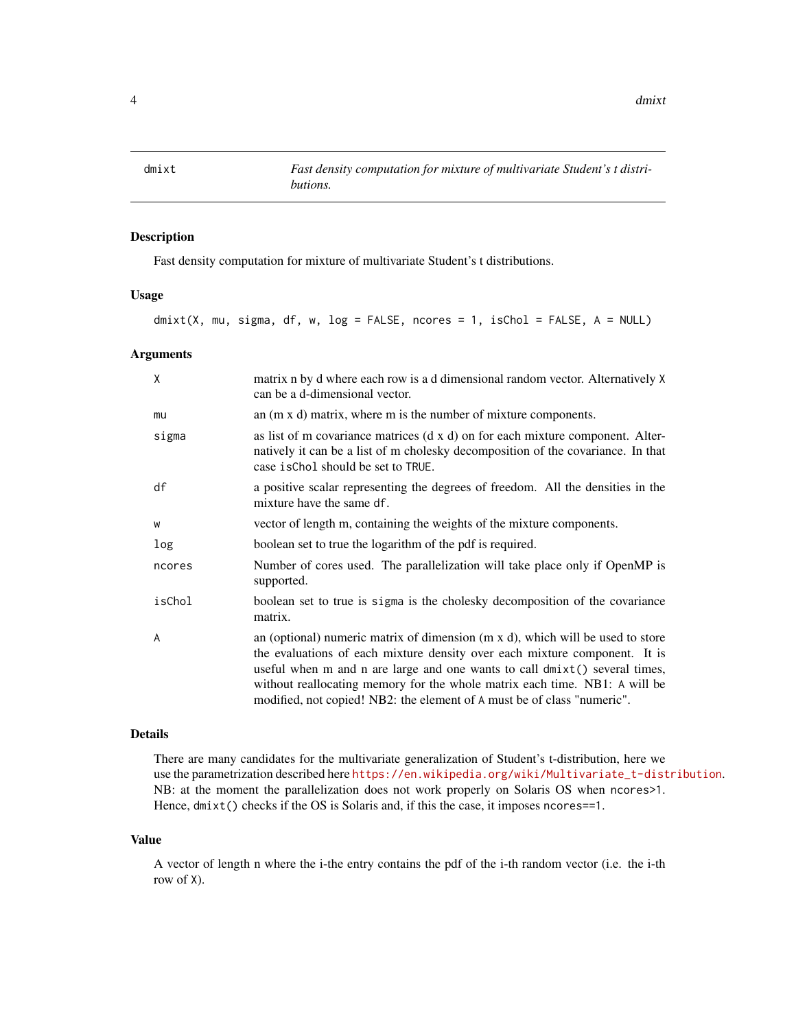<span id="page-3-0"></span>

#### Description

Fast density computation for mixture of multivariate Student's t distributions.

#### Usage

dmixt(X, mu, sigma, df, w, log = FALSE, ncores = 1, isChol = FALSE, A = NULL)

#### Arguments

| X      | matrix n by d where each row is a d dimensional random vector. Alternatively X<br>can be a d-dimensional vector.                                                                                                                                                                                                                                                                                            |
|--------|-------------------------------------------------------------------------------------------------------------------------------------------------------------------------------------------------------------------------------------------------------------------------------------------------------------------------------------------------------------------------------------------------------------|
| mu     | an $(m \times d)$ matrix, where m is the number of mixture components.                                                                                                                                                                                                                                                                                                                                      |
| sigma  | as list of m covariance matrices $(d \times d)$ on for each mixture component. Alter-<br>natively it can be a list of m cholesky decomposition of the covariance. In that<br>case is Chol should be set to TRUE.                                                                                                                                                                                            |
| df     | a positive scalar representing the degrees of freedom. All the densities in the<br>mixture have the same df.                                                                                                                                                                                                                                                                                                |
| W      | vector of length m, containing the weights of the mixture components.                                                                                                                                                                                                                                                                                                                                       |
| log    | boolean set to true the logarithm of the pdf is required.                                                                                                                                                                                                                                                                                                                                                   |
| ncores | Number of cores used. The parallelization will take place only if OpenMP is<br>supported.                                                                                                                                                                                                                                                                                                                   |
| isChol | boolean set to true is sigma is the cholesky decomposition of the covariance<br>matrix.                                                                                                                                                                                                                                                                                                                     |
| A      | an (optional) numeric matrix of dimension $(m \times d)$ , which will be used to store<br>the evaluations of each mixture density over each mixture component. It is<br>useful when m and n are large and one wants to call dmixt() several times,<br>without reallocating memory for the whole matrix each time. NB1: A will be<br>modified, not copied! NB2: the element of A must be of class "numeric". |

#### Details

There are many candidates for the multivariate generalization of Student's t-distribution, here we use the parametrization described here [https://en.wikipedia.org/wiki/Multivariate\\_t-distribution](https://en.wikipedia.org/wiki/Multivariate_t-distribution). NB: at the moment the parallelization does not work properly on Solaris OS when ncores>1. Hence, dmixt() checks if the OS is Solaris and, if this the case, it imposes ncores==1.

#### Value

A vector of length n where the i-the entry contains the pdf of the i-th random vector (i.e. the i-th row of X).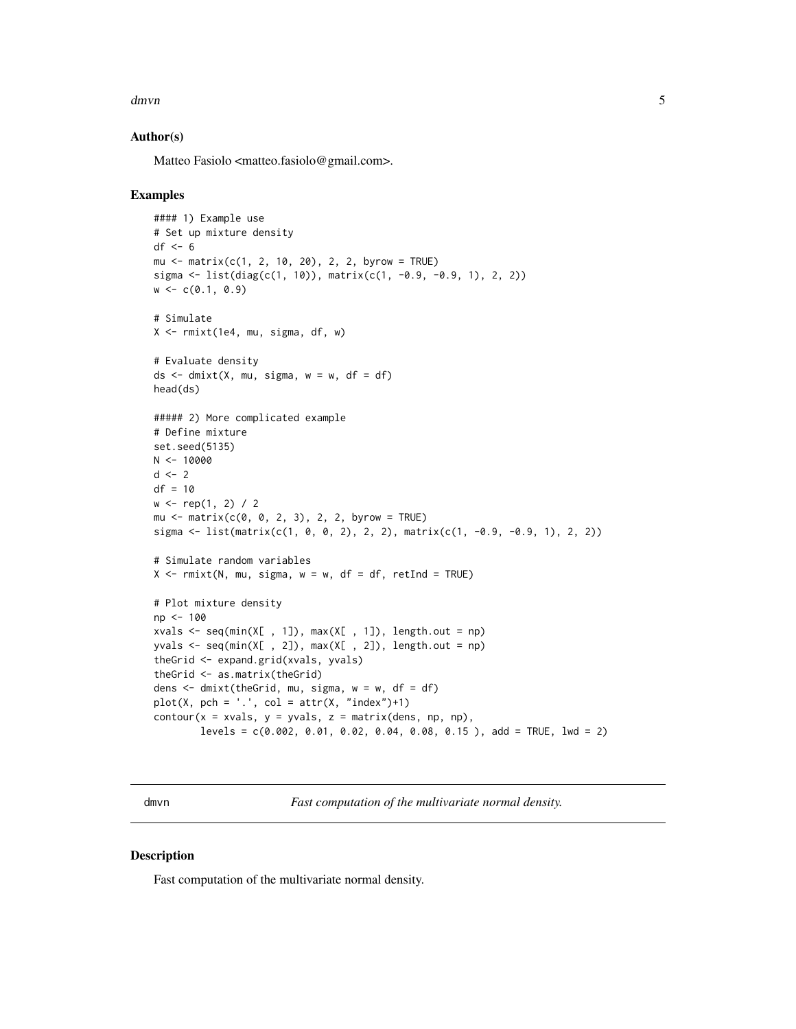<span id="page-4-0"></span>dmvn 5

#### Author(s)

Matteo Fasiolo <matteo.fasiolo@gmail.com>.

#### Examples

```
#### 1) Example use
# Set up mixture density
df \leftarrow 6mu <- matrix(c(1, 2, 10, 20), 2, 2, byrow = TRUE)
sigma <- list(diag(c(1, 10)), matrix(c(1, -0.9, -0.9, 1), 2, 2))
w \leftarrow c(0.1, 0.9)# Simulate
X <- rmixt(1e4, mu, sigma, df, w)
# Evaluate density
ds <- dmixt(X, mu, sigma, w = w, df = df)
head(ds)
##### 2) More complicated example
# Define mixture
set.seed(5135)
N < -10000d \leq -2df = 10w \leq rep(1, 2) / 2mu \le - matrix(c(0, 0, 2, 3), 2, 2, byrow = TRUE)
sigma <- list(matrix(c(1, 0, 0, 2), 2, 2), matrix(c(1, -0.9, -0.9, 1), 2, 2))
# Simulate random variables
X \leq -r mixt(N, mu, sigma, w = w, df = df, retInd = TRUE)
# Plot mixture density
np <- 100
xvals <- seq(min(X[ , 1]), max(X[ , 1]), length.out = np)
yvals \leq seq(min(X[, 2]), max(X[, 2]), length.out = np)
theGrid <- expand.grid(xvals, yvals)
theGrid <- as.matrix(theGrid)
dens \le dmixt(theGrid, mu, sigma, w = w, df = df)
plot(X, pch = '.'.; col = attr(X, 'index") + 1)contour(x = xvals, y = yvals, z = matrix(dens, np, np),levels = c(0.002, 0.01, 0.02, 0.04, 0.08, 0.15), add = TRUE, lwd = 2)
```
dmvn *Fast computation of the multivariate normal density.*

#### Description

Fast computation of the multivariate normal density.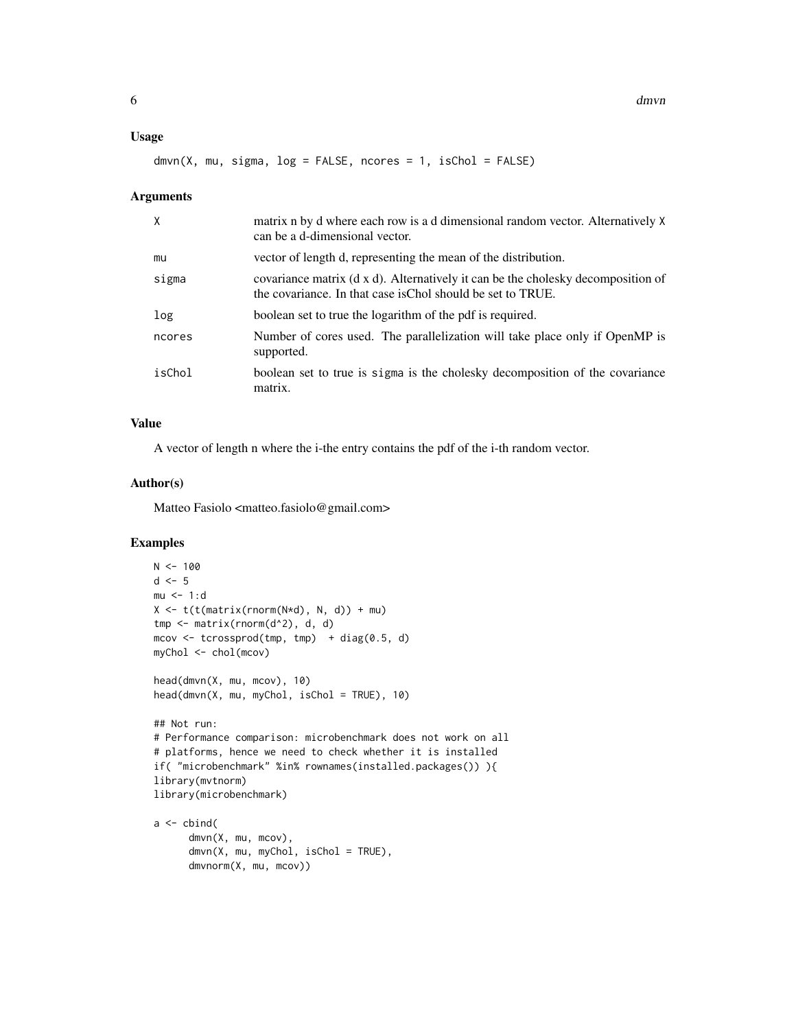#### Usage

```
dmvn(X, mu, sigma, log = FALSE, nocres = 1, isChol = FALSE)
```
#### Arguments

| $\times$ | matrix n by d where each row is a d dimensional random vector. Alternatively X<br>can be a d-dimensional vector.                                |
|----------|-------------------------------------------------------------------------------------------------------------------------------------------------|
| mu       | vector of length d, representing the mean of the distribution.                                                                                  |
| sigma    | covariance matrix (d x d). Alternatively it can be the cholesky decomposition of<br>the covariance. In that case is Chol should be set to TRUE. |
| log      | boolean set to true the logarithm of the pdf is required.                                                                                       |
| ncores   | Number of cores used. The parallelization will take place only if OpenMP is<br>supported.                                                       |
| isChol   | boolean set to true is sigma is the cholesky decomposition of the covariance<br>matrix.                                                         |

### Value

A vector of length n where the i-the entry contains the pdf of the i-th random vector.

#### Author(s)

Matteo Fasiolo <matteo.fasiolo@gmail.com>

```
N < - 100d \leq -5mu < -1:dX \leq t(t(\text{matrix}(rnorm(N*d), N, d)) + mu)tmp \leftarrow matrix(rnorm(d^2), d, d)mcov <- tcrossprod(tmp, tmp) + diag(0.5, d)
myChol <- chol(mcov)
head(dmvn(X, mu, mcov), 10)
head(dmvn(X, mu, myChol, isChol = TRUE), 10)
## Not run:
# Performance comparison: microbenchmark does not work on all
# platforms, hence we need to check whether it is installed
if( "microbenchmark" %in% rownames(installed.packages()) ){
library(mvtnorm)
library(microbenchmark)
a \leftarrow \text{cbind}(dmvn(X, mu, mcov),
      dmvn(X, mu, myChol, isChol = TRUE),
      dmvnorm(X, mu, mcov))
```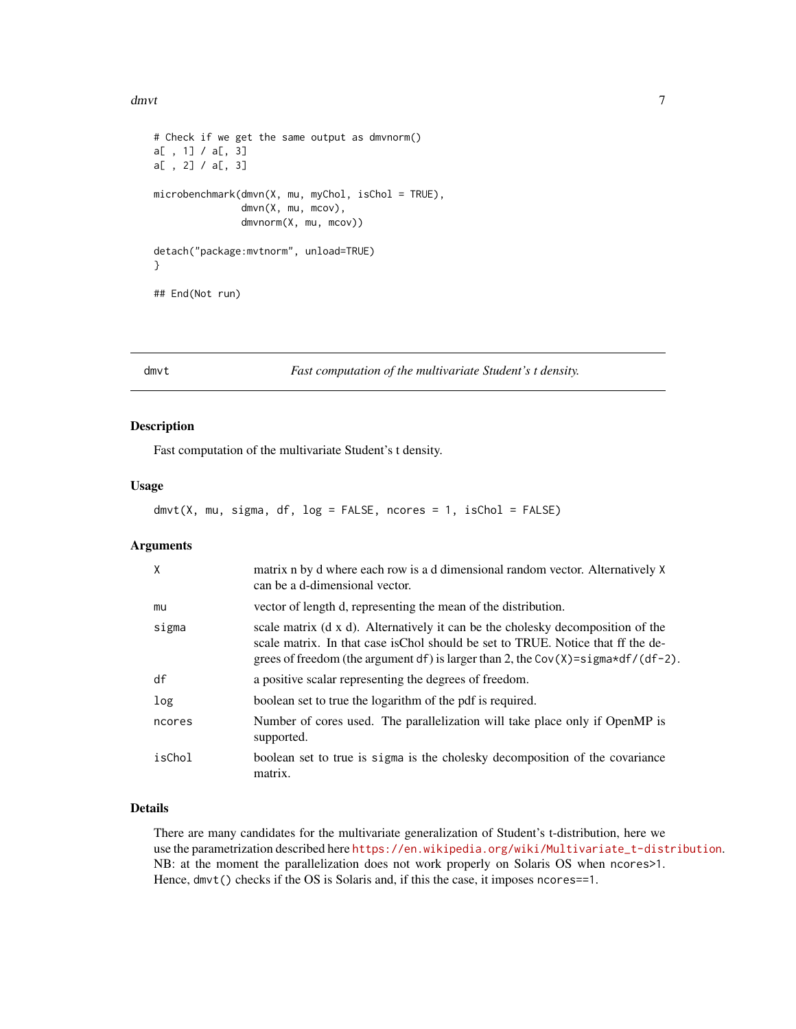#### <span id="page-6-0"></span>dmvt 7

```
# Check if we get the same output as dmvnorm()
a[ , 1] / a[, 3]
a[ , 2] / a[, 3]
microbenchmark(dmvn(X, mu, myChol, isChol = TRUE),
               dmvn(X, mu, mcov),
               dmvnorm(X, mu, mcov))
detach("package:mvtnorm", unload=TRUE)
}
## End(Not run)
```
dmvt *Fast computation of the multivariate Student's t density.*

#### Description

Fast computation of the multivariate Student's t density.

#### Usage

```
dmvt(X, mu, sigma, df, log = FALSE, ncores = 1, isChol = FALSE)
```
#### Arguments

| $\mathsf{X}$ | matrix n by d where each row is a d dimensional random vector. Alternatively X<br>can be a d-dimensional vector.                                                                                                                                        |
|--------------|---------------------------------------------------------------------------------------------------------------------------------------------------------------------------------------------------------------------------------------------------------|
| mu           | vector of length d, representing the mean of the distribution.                                                                                                                                                                                          |
| sigma        | scale matrix (d x d). Alternatively it can be the cholesky decomposition of the<br>scale matrix. In that case is Chol should be set to TRUE. Notice that ff the de-<br>grees of freedom (the argument df) is larger than 2, the Cov(X)=sigma*df/(df-2). |
| df           | a positive scalar representing the degrees of freedom.                                                                                                                                                                                                  |
| log          | boolean set to true the logarithm of the pdf is required.                                                                                                                                                                                               |
| ncores       | Number of cores used. The parallelization will take place only if OpenMP is<br>supported.                                                                                                                                                               |
| isChol       | boolean set to true is sigma is the cholesky decomposition of the covariance<br>matrix.                                                                                                                                                                 |

#### Details

There are many candidates for the multivariate generalization of Student's t-distribution, here we use the parametrization described here [https://en.wikipedia.org/wiki/Multivariate\\_t-distribution](https://en.wikipedia.org/wiki/Multivariate_t-distribution). NB: at the moment the parallelization does not work properly on Solaris OS when ncores>1. Hence, dmvt() checks if the OS is Solaris and, if this the case, it imposes ncores==1.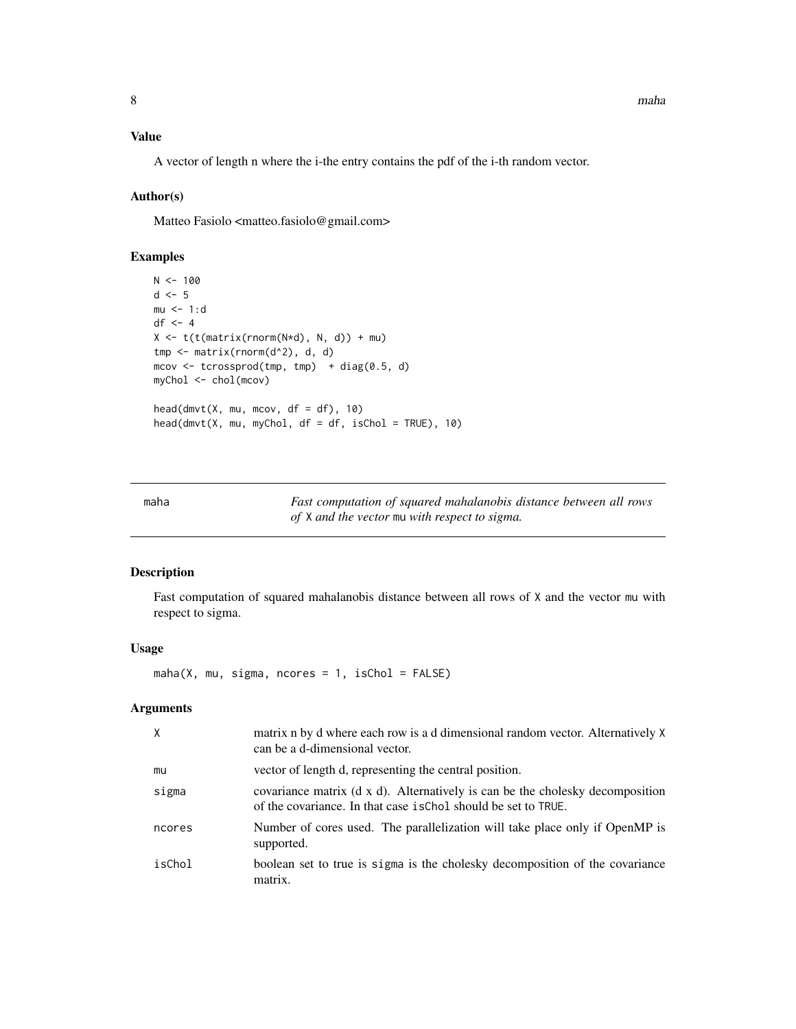#### <span id="page-7-0"></span>Value

A vector of length n where the i-the entry contains the pdf of the i-th random vector.

#### Author(s)

Matteo Fasiolo <matteo.fasiolo@gmail.com>

#### Examples

```
N < - 100d \leq -5mu < -1:ddf <- 4
X \leq t(t(\text{matrix}(rnorm(N*d), N, d)) + mu)tmp <- matrix(rnorm(d^2), d, d)
mcov <- tcrossprod(tmp, tmp) + diag(0.5, d)
myChol <- chol(mcov)
head(dmvt(X, mu, mcov, df = df), 10)
head(dmvt(X, mu, myChol, df = df, isChol = TRUE), 10)
```
maha *Fast computation of squared mahalanobis distance between all rows of* X *and the vector* mu *with respect to sigma.*

#### Description

Fast computation of squared mahalanobis distance between all rows of X and the vector mu with respect to sigma.

#### Usage

 $maha(X, mu, sigma, nocres = 1, isChol = FALSE)$ 

| X      | matrix n by d where each row is a d dimensional random vector. Alternatively X<br>can be a d-dimensional vector.                                |
|--------|-------------------------------------------------------------------------------------------------------------------------------------------------|
| mu     | vector of length d, representing the central position.                                                                                          |
| sigma  | covariance matrix (d x d). Alternatively is can be the cholesky decomposition<br>of the covariance. In that case is Chol should be set to TRUE. |
| ncores | Number of cores used. The parallelization will take place only if OpenMP is<br>supported.                                                       |
| isChol | boolean set to true is sigma is the cholesky decomposition of the covariance<br>matrix.                                                         |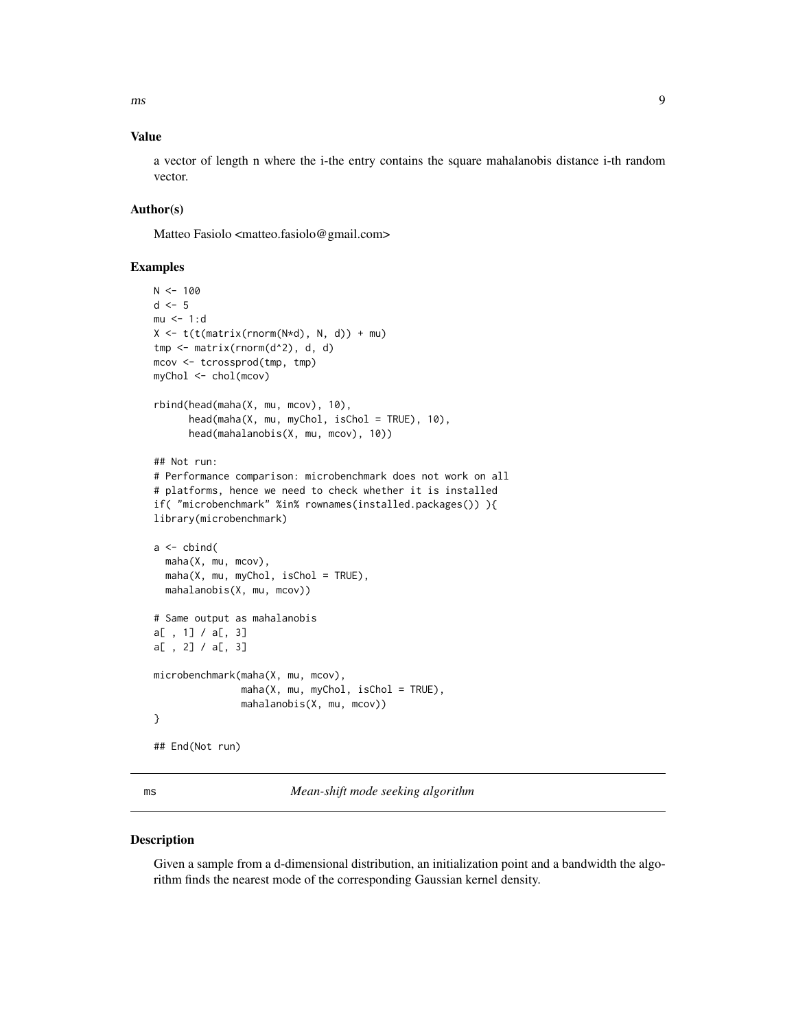<span id="page-8-0"></span>ms 9

#### Value

a vector of length n where the i-the entry contains the square mahalanobis distance i-th random vector.

#### Author(s)

Matteo Fasiolo <matteo.fasiolo@gmail.com>

#### Examples

```
N < - 100d \leq -5mu < -1:dX \leftarrow t(t(\text{matrix}(rnorm(N*d), N, d)) + mu)tmp <- matrix(rnorm(d^2), d, d)
mcov <- tcrossprod(tmp, tmp)
myChol <- chol(mcov)
rbind(head(maha(X, mu, mcov), 10),
      head(maha(X, mu, myChol, isChol = TRUE), 10),
      head(mahalanobis(X, mu, mcov), 10))
## Not run:
# Performance comparison: microbenchmark does not work on all
# platforms, hence we need to check whether it is installed
if( "microbenchmark" %in% rownames(installed.packages()) ){
library(microbenchmark)
a \leftarrow \text{cbind}(maha(X, mu, mcov),
  maha(X, mu, myChol, isChol = TRUE),mahalanobis(X, mu, mcov))
# Same output as mahalanobis
a[ , 1] / a[, 3]
a[ , 2] / a[, 3]
microbenchmark(maha(X, mu, mcov),
               maha(X, mu, myChol, isChol = TRUE),mahalanobis(X, mu, mcov))
}
## End(Not run)
```
ms *Mean-shift mode seeking algorithm*

#### Description

Given a sample from a d-dimensional distribution, an initialization point and a bandwidth the algorithm finds the nearest mode of the corresponding Gaussian kernel density.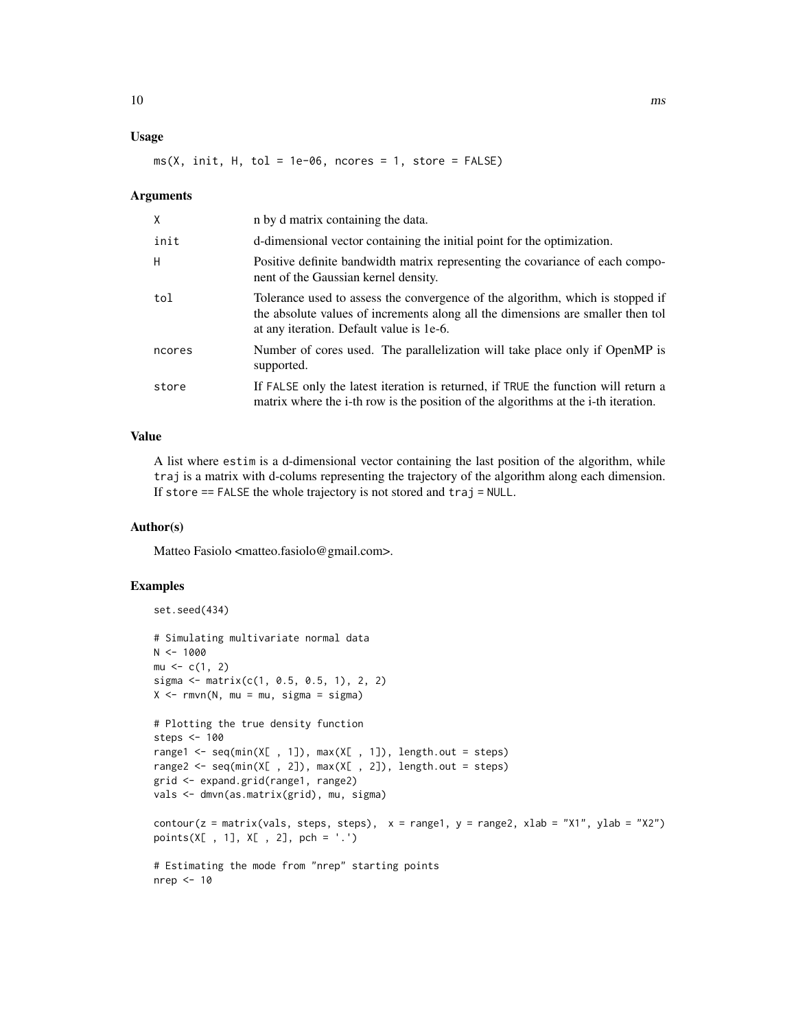#### Usage

#### $ms(X, init, H, tol = 1e-06, nocres = 1, store = FALSE)$

#### Arguments

| X      | n by d matrix containing the data.                                                                                                                                                                            |
|--------|---------------------------------------------------------------------------------------------------------------------------------------------------------------------------------------------------------------|
| init   | d-dimensional vector containing the initial point for the optimization.                                                                                                                                       |
| H      | Positive definite bandwidth matrix representing the covariance of each compo-<br>nent of the Gaussian kernel density.                                                                                         |
| tol    | Tolerance used to assess the convergence of the algorithm, which is stopped if<br>the absolute values of increments along all the dimensions are smaller then tol<br>at any iteration. Default value is 1e-6. |
| ncores | Number of cores used. The parallelization will take place only if OpenMP is<br>supported.                                                                                                                     |
| store  | If FALSE only the latest iteration is returned, if TRUE the function will return a<br>matrix where the i-th row is the position of the algorithms at the i-th iteration.                                      |

#### Value

A list where estim is a d-dimensional vector containing the last position of the algorithm, while traj is a matrix with d-colums representing the trajectory of the algorithm along each dimension. If store == FALSE the whole trajectory is not stored and traj = NULL.

#### Author(s)

Matteo Fasiolo <matteo.fasiolo@gmail.com>.

```
set.seed(434)
# Simulating multivariate normal data
N < - 1000mu < -c(1, 2)sigma <- matrix(c(1, 0.5, 0.5, 1), 2, 2)
X \le -rmvn(N, mu = mu, sigma = sigma)
# Plotting the true density function
steps <- 100
range1 <- seq(min(X[, 1]), max(X[, 1]), length.out = steps)
range2 <- seq(min(X[ , 2]), max(X[ , 2]), length.out = steps)
grid <- expand.grid(range1, range2)
vals <- dmvn(as.matrix(grid), mu, sigma)
contour(z = matrix(vals, steps, steps), x = range1, y = range2, xlab = "X1", ylab = "X2")points(X[ , 1], X[ , 2], pch = '.')
# Estimating the mode from "nrep" starting points
nrep <- 10
```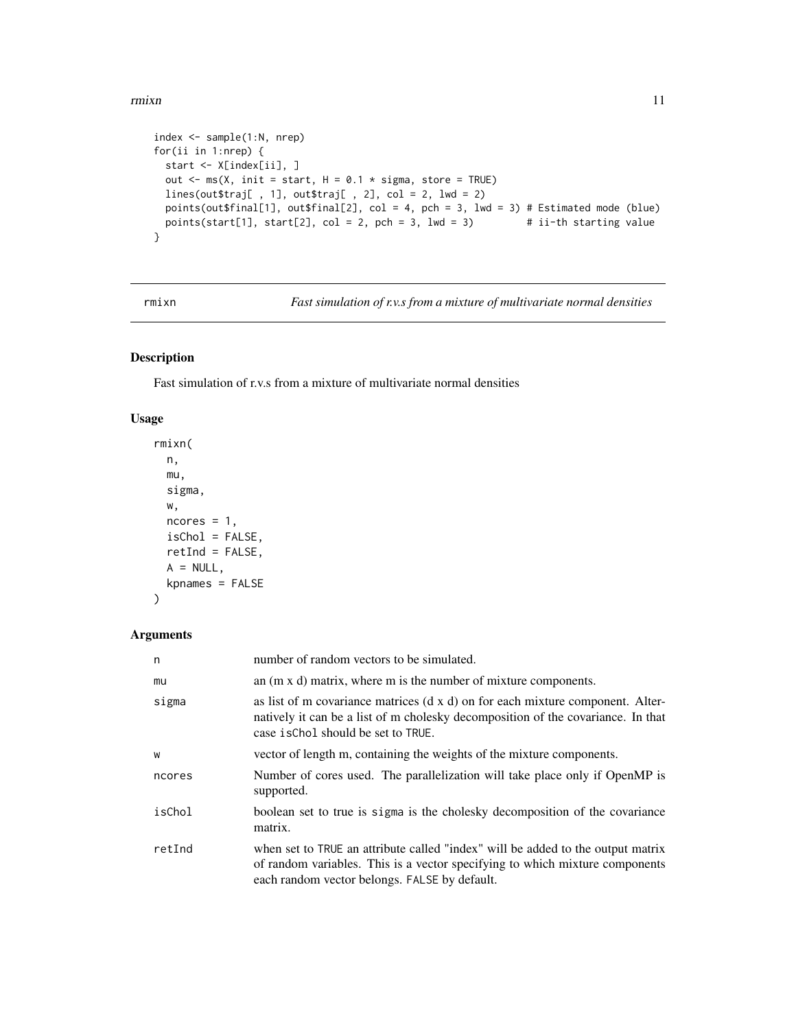#### <span id="page-10-0"></span>rmixn and the contract of the contract of the contract of the contract of the contract of the contract of the contract of the contract of the contract of the contract of the contract of the contract of the contract of the

```
index <- sample(1:N, nrep)
for(ii in 1:nrep) {
  start <- X[index[ii], ]
  out \leq - ms(X, init = start, H = 0.1 \star sigma, store = TRUE)
  lines(out$traj[, 1], out$traj[, 2], col = 2, lwd = 2)
  points(out$final[1], out$final[2], col = 4, pch = 3, lwd = 3) # Estimated mode (blue)
  points(start[1], start[2], col = 2, pch = 3, lwd = 3) # ii-th starting value
}
```
rmixn *Fast simulation of r.v.s from a mixture of multivariate normal densities*

#### Description

Fast simulation of r.v.s from a mixture of multivariate normal densities

#### Usage

```
rmixn(
 n,
 mu,
 sigma,
 w,
 ncores = 1,
 isChol = FALSE,
 retInd = FALSE,A = NULL,kpnames = FALSE
)
```

| n      | number of random vectors to be simulated.                                                                                                                                                                        |
|--------|------------------------------------------------------------------------------------------------------------------------------------------------------------------------------------------------------------------|
| mu     | an $(m \times d)$ matrix, where m is the number of mixture components.                                                                                                                                           |
| sigma  | as list of m covariance matrices (d x d) on for each mixture component. Alter-<br>natively it can be a list of m cholesky decomposition of the covariance. In that<br>case is Chol should be set to TRUE.        |
| W      | vector of length m, containing the weights of the mixture components.                                                                                                                                            |
| ncores | Number of cores used. The parallelization will take place only if OpenMP is<br>supported.                                                                                                                        |
| isChol | boolean set to true is sigma is the cholesky decomposition of the covariance<br>matrix.                                                                                                                          |
| retInd | when set to TRUE an attribute called "index" will be added to the output matrix<br>of random variables. This is a vector specifying to which mixture components<br>each random vector belongs. FALSE by default. |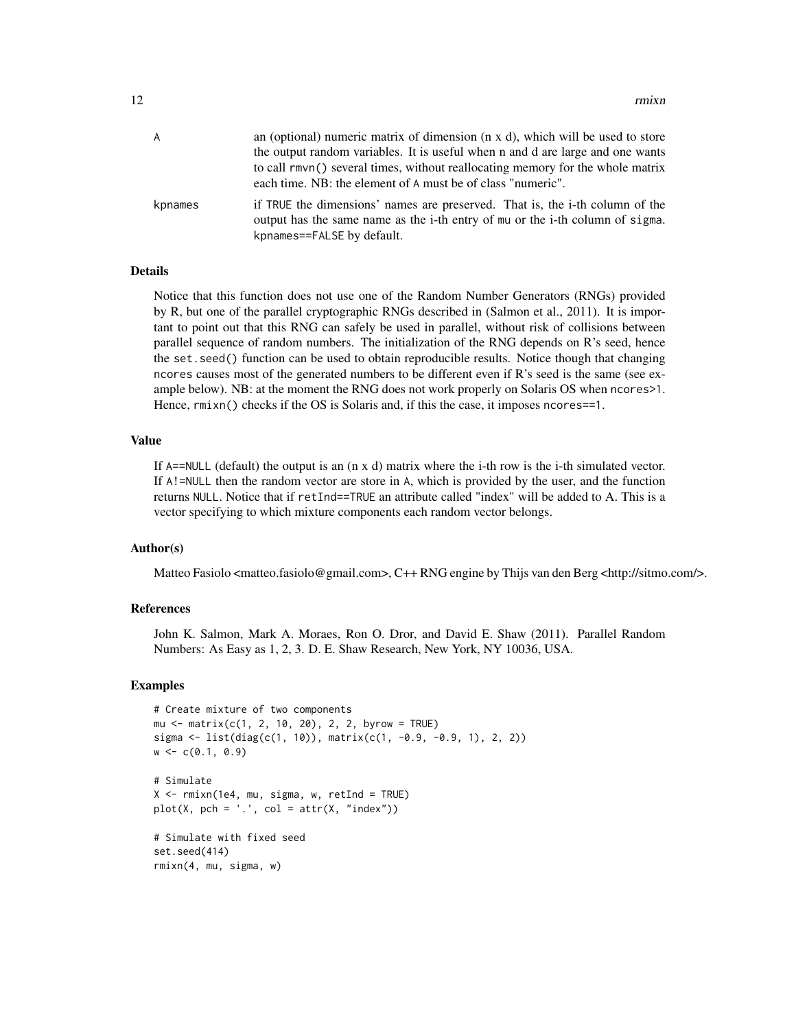| A       | an (optional) numeric matrix of dimension $(n \times d)$ , which will be used to store<br>the output random variables. It is useful when n and d are large and one wants                    |
|---------|---------------------------------------------------------------------------------------------------------------------------------------------------------------------------------------------|
|         | to call rmvn() several times, without reallocating memory for the whole matrix<br>each time. NB: the element of A must be of class "numeric".                                               |
| kpnames | if TRUE the dimensions' names are preserved. That is, the i-th column of the<br>output has the same name as the i-th entry of mu or the i-th column of sigma.<br>kpnames==FALSE by default. |

#### Details

Notice that this function does not use one of the Random Number Generators (RNGs) provided by R, but one of the parallel cryptographic RNGs described in (Salmon et al., 2011). It is important to point out that this RNG can safely be used in parallel, without risk of collisions between parallel sequence of random numbers. The initialization of the RNG depends on R's seed, hence the set.seed() function can be used to obtain reproducible results. Notice though that changing ncores causes most of the generated numbers to be different even if  $\mathbb{R}^3$  seed is the same (see example below). NB: at the moment the RNG does not work properly on Solaris OS when ncores>1. Hence,  $rmin()$  checks if the OS is Solaris and, if this the case, it imposes ncores==1.

#### Value

If A==NULL (default) the output is an (n x d) matrix where the i-th row is the i-th simulated vector. If A!=NULL then the random vector are store in A, which is provided by the user, and the function returns NULL. Notice that if retInd==TRUE an attribute called "index" will be added to A. This is a vector specifying to which mixture components each random vector belongs.

#### Author(s)

Matteo Fasiolo <matteo.fasiolo@gmail.com>, C++ RNG engine by Thijs van den Berg <http://sitmo.com/>.

#### References

John K. Salmon, Mark A. Moraes, Ron O. Dror, and David E. Shaw (2011). Parallel Random Numbers: As Easy as 1, 2, 3. D. E. Shaw Research, New York, NY 10036, USA.

```
# Create mixture of two components
mu <- matrix(c(1, 2, 10, 20), 2, 2, byrow = TRUE)
sigma <- list(diag(c(1, 10)), matrix(c(1, -0.9, -0.9, 1), 2, 2))
w <- c(0.1, 0.9)
# Simulate
X \leq -r mixn(1e4, mu, sigma, w, retInd = TRUE)
plot(X, pch = '.', col = attr(X, "index"))# Simulate with fixed seed
set.seed(414)
rmixn(4, mu, sigma, w)
```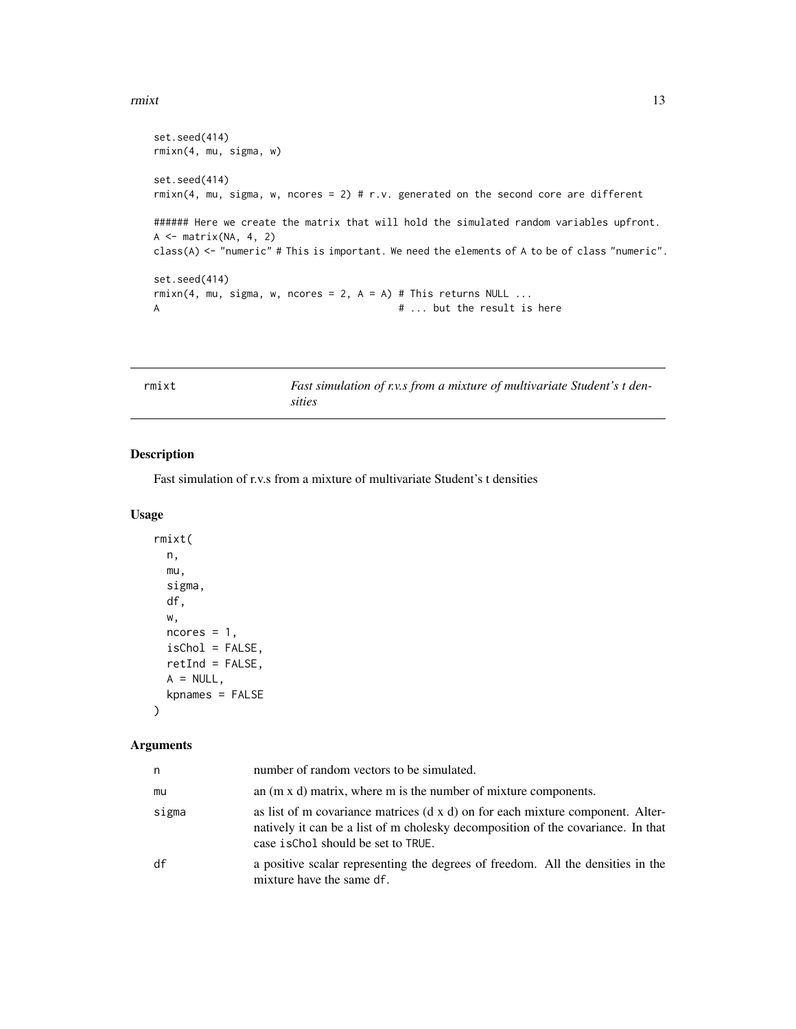#### <span id="page-12-0"></span> $r$ mixt  $13$

```
set.seed(414)
rmixn(4, mu, sigma, w)
set.seed(414)
rmixn(4, mu, sigma, w, ncores = 2) # r.v. generated on the second core are different
###### Here we create the matrix that will hold the simulated random variables upfront.
A \leftarrow matrix(NA, 4, 2)class(A) <- "numeric" # This is important. We need the elements of A to be of class "numeric".
set.seed(414)
rmin(4, mu, sigma, w, nocres = 2, A = A) # This returns NULL ...
A # ... but the result is here
```

| rmixt | Fast simulation of r.v.s from a mixture of multivariate Student's t den- |
|-------|--------------------------------------------------------------------------|
|       | sities                                                                   |

#### Description

Fast simulation of r.v.s from a mixture of multivariate Student's t densities

#### Usage

```
rmixt(
  n,
 mu,
 sigma,
 df,
 w,
 ncores = 1,
 isChol = FALSE,retInd = FALSE,
 A = NULL,kpnames = FALSE
)
```

| n     | number of random vectors to be simulated.                                                                                                                                                                 |
|-------|-----------------------------------------------------------------------------------------------------------------------------------------------------------------------------------------------------------|
| mu    | an $(m \times d)$ matrix, where m is the number of mixture components.                                                                                                                                    |
| sigma | as list of m covariance matrices (d x d) on for each mixture component. Alter-<br>natively it can be a list of m cholesky decomposition of the covariance. In that<br>case is Chol should be set to TRUE. |
| df    | a positive scalar representing the degrees of freedom. All the densities in the<br>mixture have the same df.                                                                                              |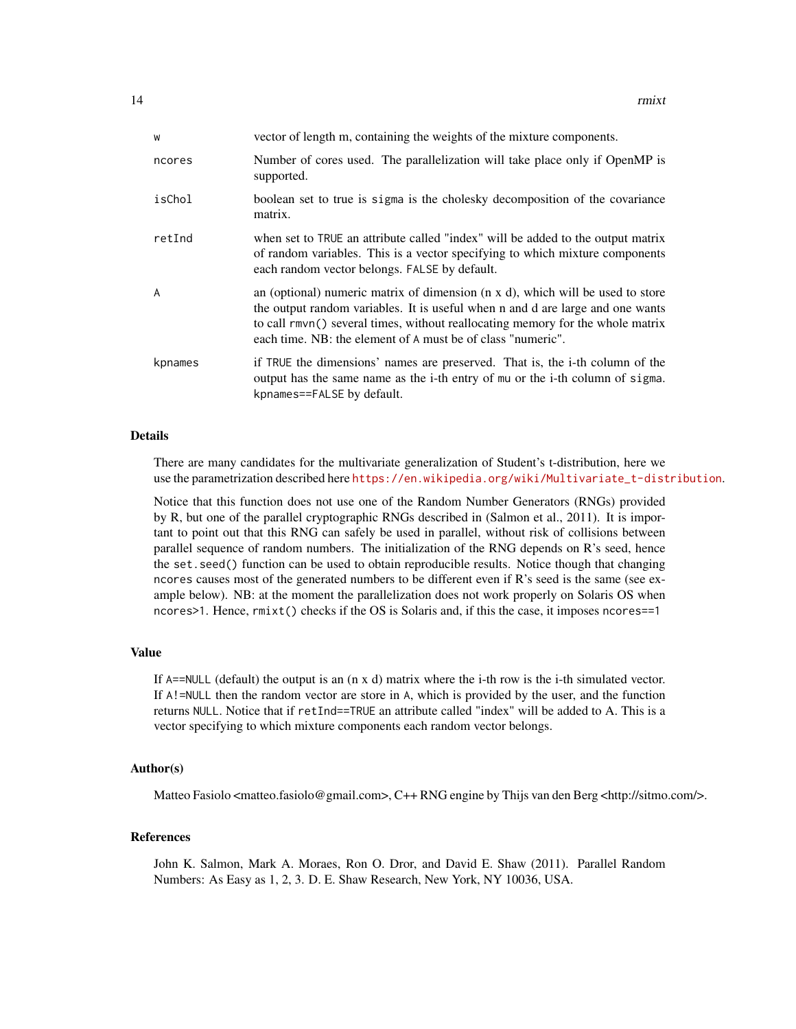| W       | vector of length m, containing the weights of the mixture components.                                                                                                                                                                                                                                                     |
|---------|---------------------------------------------------------------------------------------------------------------------------------------------------------------------------------------------------------------------------------------------------------------------------------------------------------------------------|
| ncores  | Number of cores used. The parallelization will take place only if OpenMP is<br>supported.                                                                                                                                                                                                                                 |
| isChol  | boolean set to true is sigma is the cholesky decomposition of the covariance<br>matrix.                                                                                                                                                                                                                                   |
| retInd  | when set to TRUE an attribute called "index" will be added to the output matrix<br>of random variables. This is a vector specifying to which mixture components<br>each random vector belongs. FALSE by default.                                                                                                          |
| A       | an (optional) numeric matrix of dimension $(n \times d)$ , which will be used to store<br>the output random variables. It is useful when n and d are large and one wants<br>to call rmvn() several times, without reallocating memory for the whole matrix<br>each time. NB: the element of A must be of class "numeric". |
| kpnames | if TRUE the dimensions' names are preserved. That is, the i-th column of the<br>output has the same name as the i-th entry of mu or the i-th column of sigma.<br>kpnames==FALSE by default.                                                                                                                               |

#### Details

There are many candidates for the multivariate generalization of Student's t-distribution, here we use the parametrization described here [https://en.wikipedia.org/wiki/Multivariate\\_t-distribution](https://en.wikipedia.org/wiki/Multivariate_t-distribution).

Notice that this function does not use one of the Random Number Generators (RNGs) provided by R, but one of the parallel cryptographic RNGs described in (Salmon et al., 2011). It is important to point out that this RNG can safely be used in parallel, without risk of collisions between parallel sequence of random numbers. The initialization of the RNG depends on R's seed, hence the set.seed() function can be used to obtain reproducible results. Notice though that changing ncores causes most of the generated numbers to be different even if R's seed is the same (see example below). NB: at the moment the parallelization does not work properly on Solaris OS when ncores>1. Hence, rmixt() checks if the OS is Solaris and, if this the case, it imposes ncores==1

#### Value

If A==NULL (default) the output is an (n x d) matrix where the i-th row is the i-th simulated vector. If A!=NULL then the random vector are store in A, which is provided by the user, and the function returns NULL. Notice that if retInd==TRUE an attribute called "index" will be added to A. This is a vector specifying to which mixture components each random vector belongs.

#### Author(s)

Matteo Fasiolo <matteo.fasiolo@gmail.com>, C++ RNG engine by Thijs van den Berg <http://sitmo.com/>.

#### References

John K. Salmon, Mark A. Moraes, Ron O. Dror, and David E. Shaw (2011). Parallel Random Numbers: As Easy as 1, 2, 3. D. E. Shaw Research, New York, NY 10036, USA.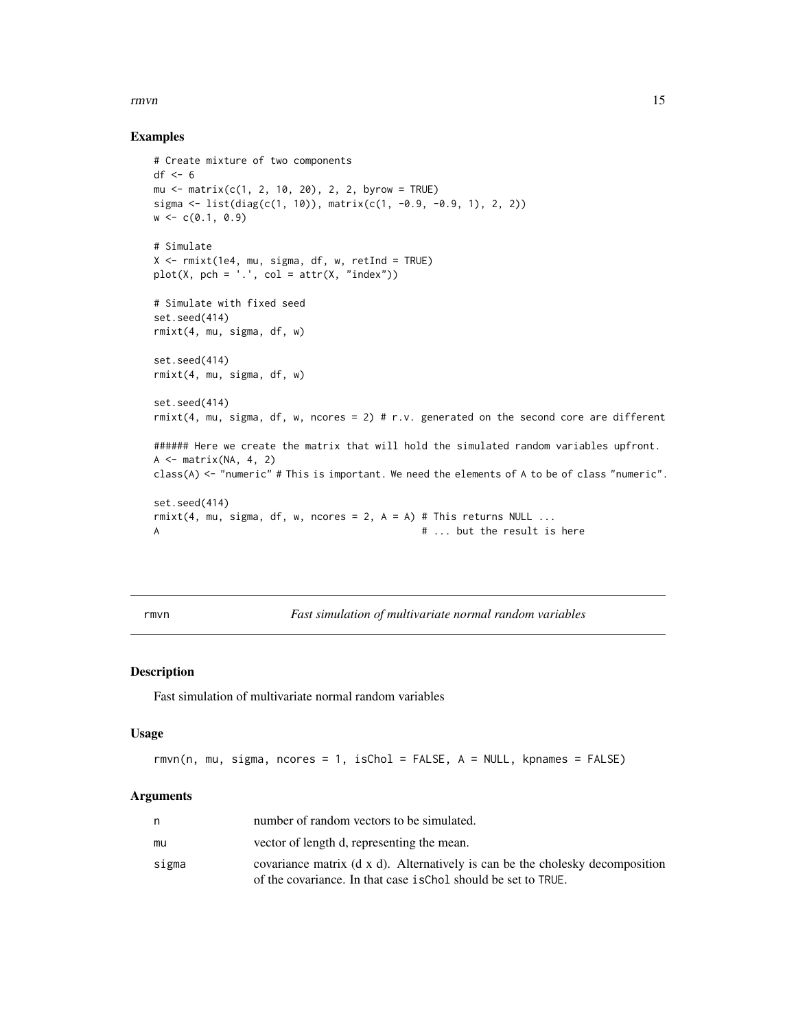#### <span id="page-14-0"></span> $r_{\rm{H}}$  15

#### Examples

```
# Create mixture of two components
df \leftarrow 6mu <- matrix(c(1, 2, 10, 20), 2, 2, byrow = TRUE)
sigma <- list(diag(c(1, 10)), matrix(c(1, -0.9, -0.9, 1), 2, 2))
w \leftarrow c(0.1, 0.9)# Simulate
X <- rmixt(1e4, mu, sigma, df, w, retInd = TRUE)
plot(X, pch = '.', col = attr(X, 'index"))# Simulate with fixed seed
set.seed(414)
rmixt(4, mu, sigma, df, w)
set.seed(414)
rmixt(4, mu, sigma, df, w)
set.seed(414)
rmixt(4, mu, sigma, df, w, ncores = 2) # r.v. generated on the second core are different
###### Here we create the matrix that will hold the simulated random variables upfront.
A \leftarrow matrix(NA, 4, 2)class(A) <- "numeric" # This is important. We need the elements of A to be of class "numeric".
set.seed(414)
rmixt(4, mu, sigma, df, w, ncores = 2, A = A) # This returns NULL ...
A # ... but the result is here
```
rmvn *Fast simulation of multivariate normal random variables*

#### Description

Fast simulation of multivariate normal random variables

#### Usage

rmvn(n, mu, sigma, ncores = 1, isChol = FALSE, A = NULL, kpnames = FALSE)

|       | number of random vectors to be simulated.                                                                                                       |
|-------|-------------------------------------------------------------------------------------------------------------------------------------------------|
| mu    | vector of length d, representing the mean.                                                                                                      |
| sigma | covariance matrix (d x d). Alternatively is can be the cholesky decomposition<br>of the covariance. In that case is Chol should be set to TRUE. |
|       |                                                                                                                                                 |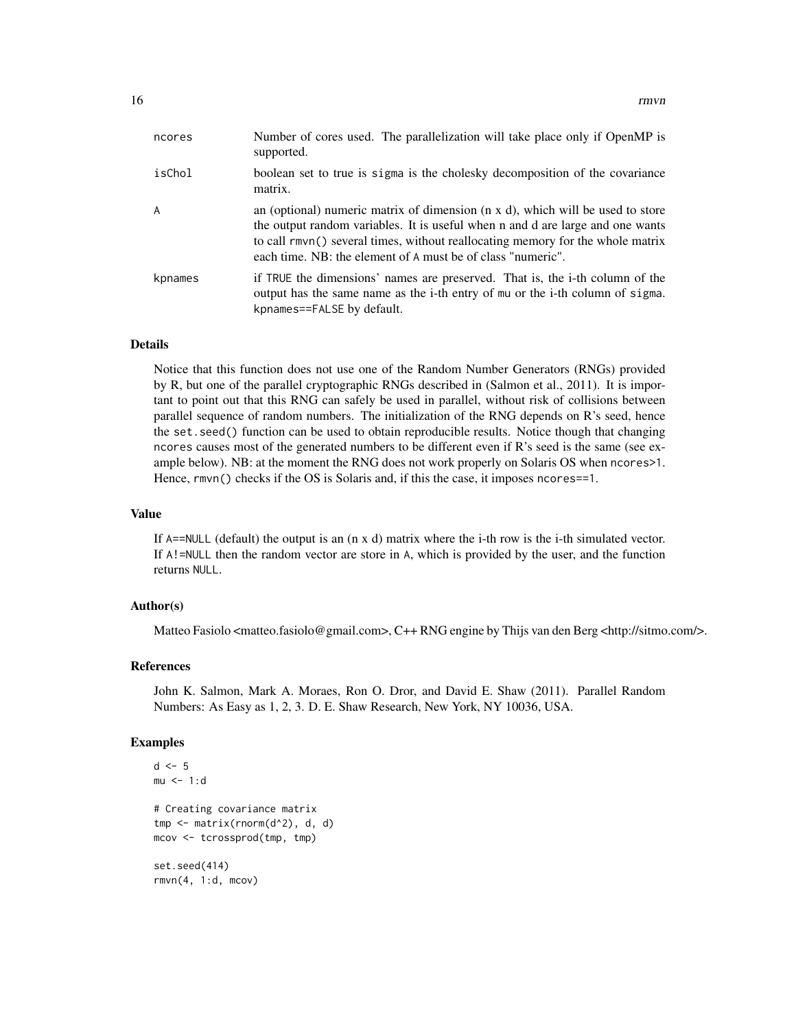| ncores  | Number of cores used. The parallelization will take place only if OpenMP is<br>supported.                                                                                                                                                                                                                                 |
|---------|---------------------------------------------------------------------------------------------------------------------------------------------------------------------------------------------------------------------------------------------------------------------------------------------------------------------------|
| isChol  | boolean set to true is sigma is the cholesky decomposition of the covariance<br>matrix.                                                                                                                                                                                                                                   |
| A       | an (optional) numeric matrix of dimension $(n \times d)$ , which will be used to store<br>the output random variables. It is useful when n and d are large and one wants<br>to call rmvn() several times, without reallocating memory for the whole matrix<br>each time. NB: the element of A must be of class "numeric". |
| kpnames | if TRUE the dimensions' names are preserved. That is, the i-th column of the<br>output has the same name as the i-th entry of mu or the i-th column of sigma.<br>kpnames==FALSE by default.                                                                                                                               |

#### Details

Notice that this function does not use one of the Random Number Generators (RNGs) provided by R, but one of the parallel cryptographic RNGs described in (Salmon et al., 2011). It is important to point out that this RNG can safely be used in parallel, without risk of collisions between parallel sequence of random numbers. The initialization of the RNG depends on R's seed, hence the set.seed() function can be used to obtain reproducible results. Notice though that changing ncores causes most of the generated numbers to be different even if R's seed is the same (see example below). NB: at the moment the RNG does not work properly on Solaris OS when ncores>1. Hence, rmvn() checks if the OS is Solaris and, if this the case, it imposes ncores==1.

#### Value

If A==NULL (default) the output is an (n x d) matrix where the i-th row is the i-th simulated vector. If A!=NULL then the random vector are store in A, which is provided by the user, and the function returns NULL.

#### Author(s)

Matteo Fasiolo <matteo.fasiolo@gmail.com>, C++ RNG engine by Thijs van den Berg <http://sitmo.com/>.

#### References

John K. Salmon, Mark A. Moraes, Ron O. Dror, and David E. Shaw (2011). Parallel Random Numbers: As Easy as 1, 2, 3. D. E. Shaw Research, New York, NY 10036, USA.

```
d \leq -5mu < -1:d# Creating covariance matrix
tmp <- matrix(rnorm(d^2), d, d)
mcov <- tcrossprod(tmp, tmp)
set.seed(414)
rmvn(4, 1:d, mcov)
```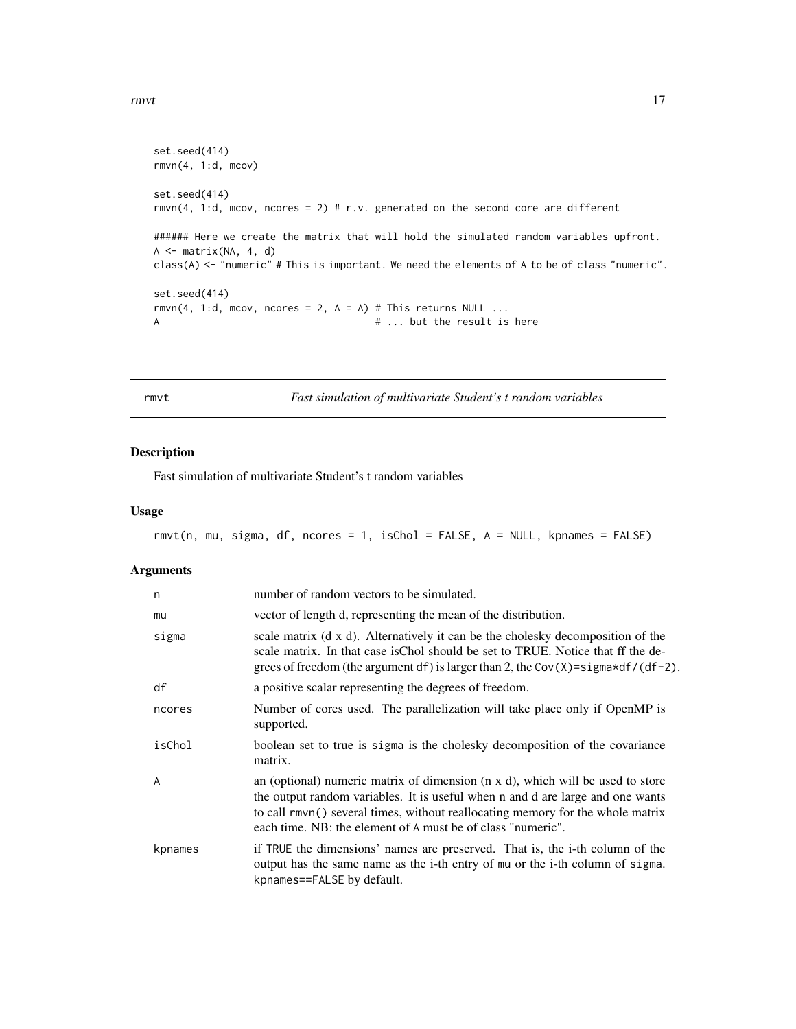```
set.seed(414)
rmvn(4, 1:d, mcov)
set.seed(414)
rmvn(4, 1:d, mcov, ncores = 2) # r.v. generated on the second core are different
###### Here we create the matrix that will hold the simulated random variables upfront.
A \leftarrow matrix(NA, 4, d)class(A) <- "numeric" # This is important. We need the elements of A to be of class "numeric".
set.seed(414)
rmvn(4, 1:d, mcov, ncores = 2, A = A) # This returns NULL ...
A # ... but the result is here
```
rmvt *Fast simulation of multivariate Student's t random variables*

#### Description

Fast simulation of multivariate Student's t random variables

#### Usage

```
rmvt(n, mu, sigma, df, ncores = 1, isChol = FALSE, A = NULL, kpnames = FALSE)
```

| n       | number of random vectors to be simulated.                                                                                                                                                                                                                                                                         |
|---------|-------------------------------------------------------------------------------------------------------------------------------------------------------------------------------------------------------------------------------------------------------------------------------------------------------------------|
| mu      | vector of length d, representing the mean of the distribution.                                                                                                                                                                                                                                                    |
| sigma   | scale matrix (d x d). Alternatively it can be the cholesky decomposition of the<br>scale matrix. In that case is Chol should be set to TRUE. Notice that ff the de-<br>grees of freedom (the argument df) is larger than 2, the Cov(X)= $signa*df/(df-2)$ .                                                       |
| df      | a positive scalar representing the degrees of freedom.                                                                                                                                                                                                                                                            |
| ncores  | Number of cores used. The parallelization will take place only if OpenMP is<br>supported.                                                                                                                                                                                                                         |
| isChol  | boolean set to true is sigma is the cholesky decomposition of the covariance<br>matrix.                                                                                                                                                                                                                           |
| A       | an (optional) numeric matrix of dimension (n x d), which will be used to store<br>the output random variables. It is useful when n and d are large and one wants<br>to call rmvn() several times, without reallocating memory for the whole matrix<br>each time. NB: the element of A must be of class "numeric". |
| kpnames | if TRUE the dimensions' names are preserved. That is, the i-th column of the<br>output has the same name as the i-th entry of mu or the i-th column of sigma.<br>kpnames==FALSE by default.                                                                                                                       |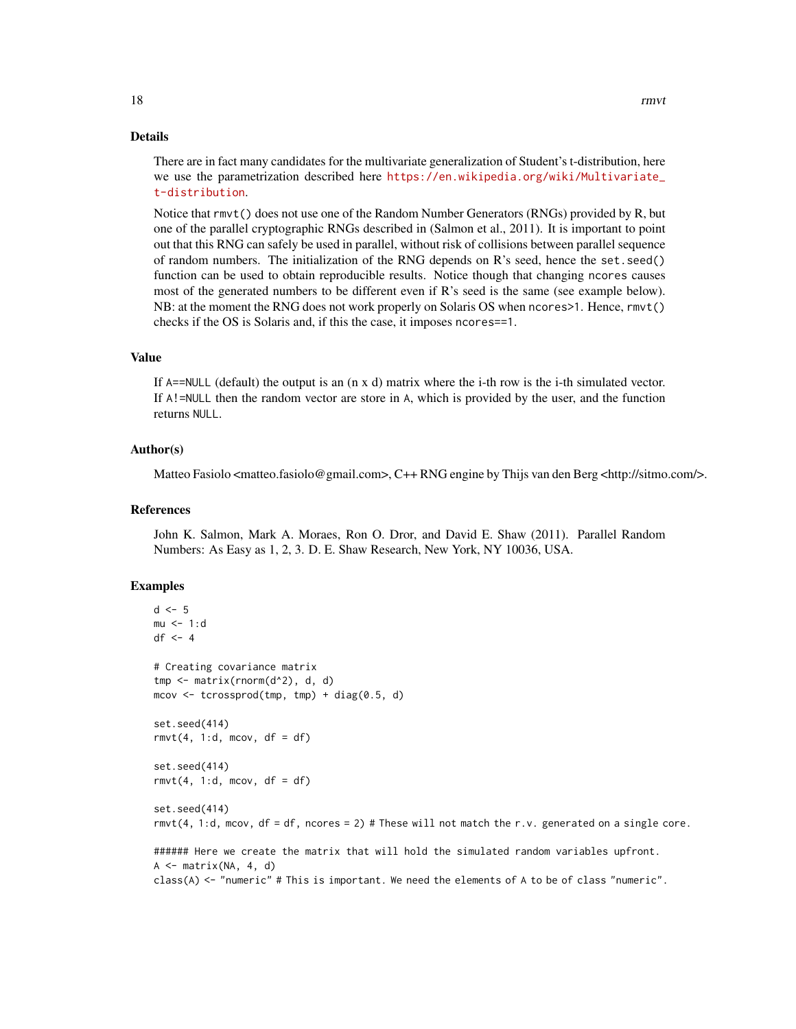Notice that rmvt() does not use one of the Random Number Generators (RNGs) provided by R, but one of the parallel cryptographic RNGs described in (Salmon et al., 2011). It is important to point out that this RNG can safely be used in parallel, without risk of collisions between parallel sequence of random numbers. The initialization of the RNG depends on R's seed, hence the set.seed() function can be used to obtain reproducible results. Notice though that changing ncores causes most of the generated numbers to be different even if R's seed is the same (see example below). NB: at the moment the RNG does not work properly on Solaris OS when ncores>1. Hence, rmvt() checks if the OS is Solaris and, if this the case, it imposes ncores==1.

#### Value

If A==NULL (default) the output is an (n x d) matrix where the i-th row is the i-th simulated vector. If A!=NULL then the random vector are store in A, which is provided by the user, and the function returns NULL.

#### Author(s)

Matteo Fasiolo <matteo.fasiolo@gmail.com>, C++ RNG engine by Thijs van den Berg <http://sitmo.com/>.

#### References

John K. Salmon, Mark A. Moraes, Ron O. Dror, and David E. Shaw (2011). Parallel Random Numbers: As Easy as 1, 2, 3. D. E. Shaw Research, New York, NY 10036, USA.

```
d \leq -5mu < -1:ddf <- 4
# Creating covariance matrix
tmp <- matrix(rnorm(d^2), d, d)
mcov \leq tcrossprod(tmp, tmp) + diag(0.5, d)set.seed(414)
rmvt(4, 1:d, mcov, df = df)set.seed(414)
rmvt(4, 1:d, mcov, df = df)set.seed(414)
rmvt(4, 1:d, mcov, df = df, ncores = 2) # These will not match the r.v. generated on a single core.
###### Here we create the matrix that will hold the simulated random variables upfront.
A <- matrix(NA, 4, d)
class(A) <- "numeric" # This is important. We need the elements of A to be of class "numeric".
```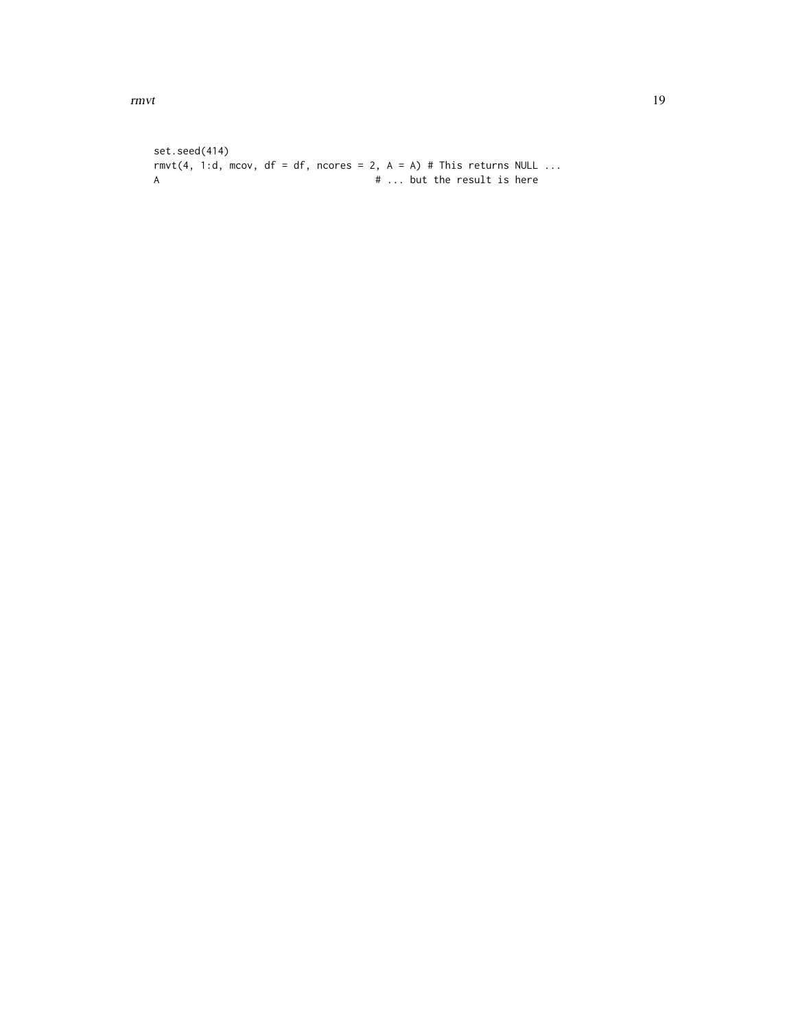```
set.seed(414)
rmvt(4, 1:d, mcov, df = df, ncores = 2, A = A) # This returns NULL ...
A \# ... but the result is here
```